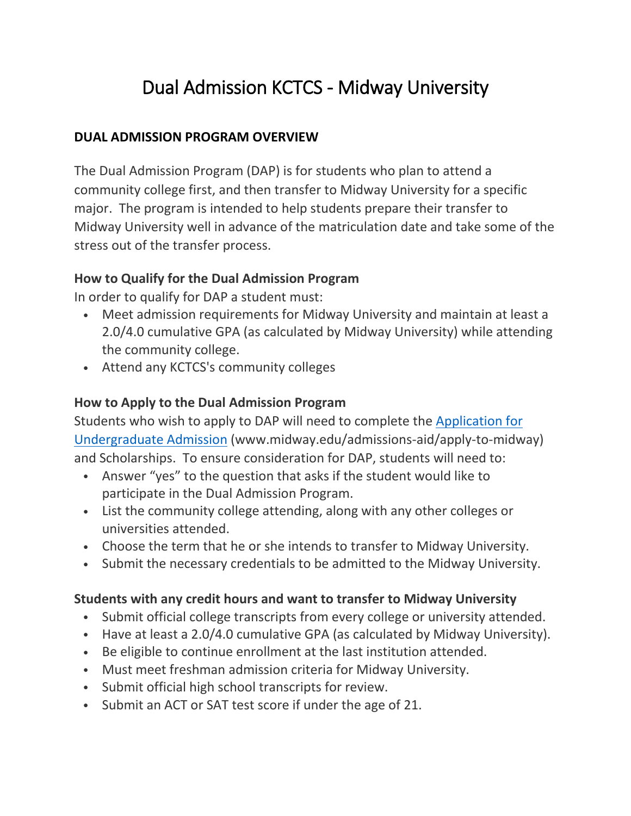# Dual Admission KCTCS - Midway University

#### **DUAL ADMISSION PROGRAM OVERVIEW**

The Dual Admission Program (DAP) is for students who plan to attend a community college first, and then transfer to Midway University for a specific major. The program is intended to help students prepare their transfer to Midway University well in advance of the matriculation date and take some of the stress out of the transfer process.

#### **How to Qualify for the Dual Admission Program**

In order to qualify for DAP a student must:

- Meet admission requirements for Midway University and maintain at least a 2.0/4.0 cumulative GPA (as calculated by Midway University) while attending the community college.
- Attend any KCTCS's community colleges

#### **How to Apply to the Dual Admission Program**

Students who wish to apply to DAP will need to complete the [Application for](https://www.midway.edu/admissions-aid/apply-to-midway)  [Undergraduate Admission](https://www.midway.edu/admissions-aid/apply-to-midway) (www.midway.edu/admissions-aid/apply-to-midway) and Scholarships. To ensure consideration for DAP, students will need to:

- Answer "yes" to the question that asks if the student would like to participate in the Dual Admission Program.
- List the community college attending, along with any other colleges or universities attended.
- Choose the term that he or she intends to transfer to Midway University.
- Submit the necessary credentials to be admitted to the Midway University.

#### **Students with any credit hours and want to transfer to Midway University**

- Submit official college transcripts from every college or university attended.
- Have at least a 2.0/4.0 cumulative GPA (as calculated by Midway University).
- Be eligible to continue enrollment at the last institution attended.
- Must meet freshman admission criteria for Midway University.
- Submit official high school transcripts for review.
- Submit an ACT or SAT test score if under the age of 21.